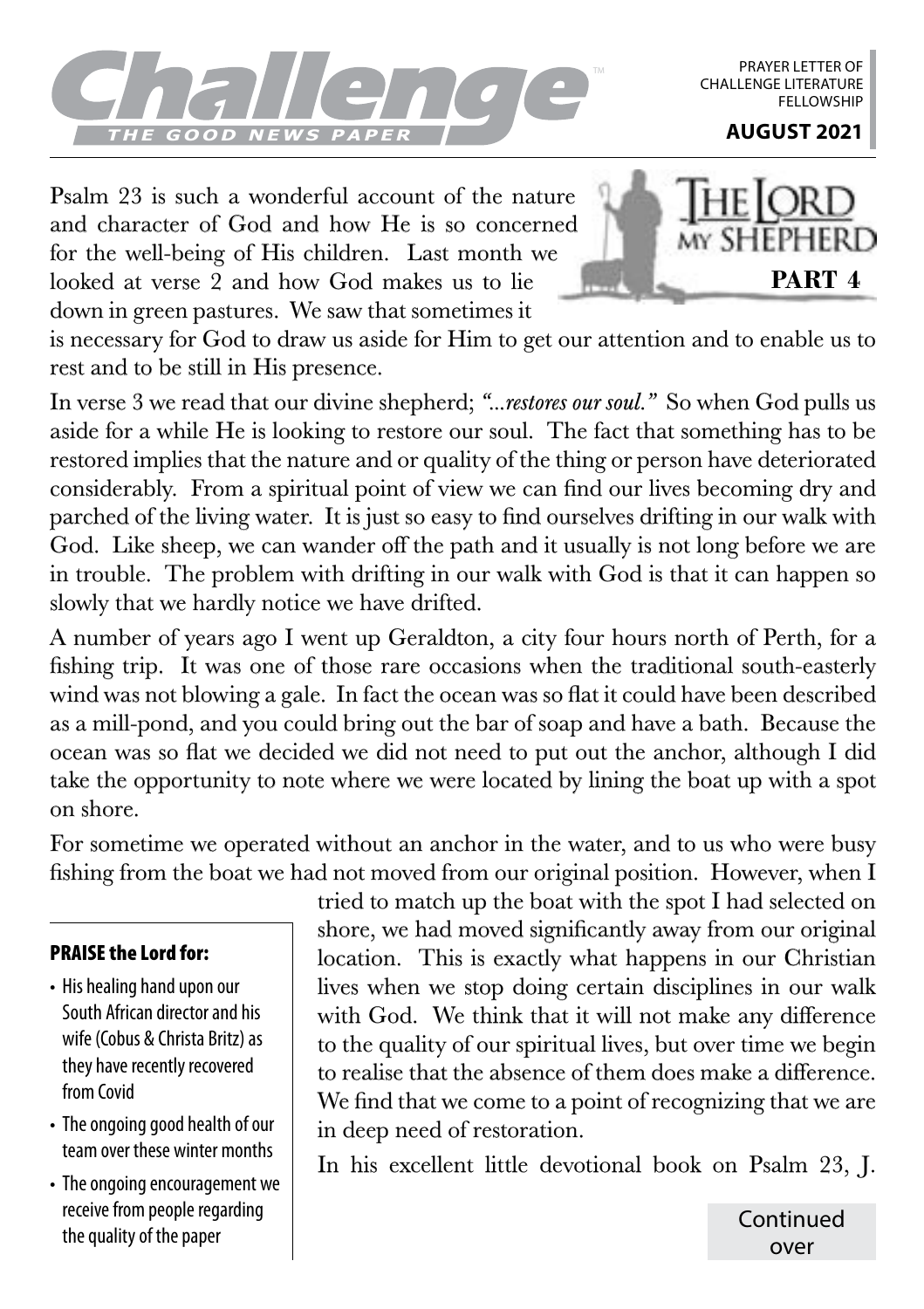

PRAYER LETTER OF CHALLENGE LITERATURE **FFLLOWSHIP** 

Psalm 23 is such a wonderful account of the nature and character of God and how He is so concerned for the well-being of His children. Last month we looked at verse 2 and how God makes us to lie down in green pastures. We saw that sometimes it



is necessary for God to draw us aside for Him to get our attention and to enable us to rest and to be still in His presence.

In verse 3 we read that our divine shepherd; *"…restores our soul."* So when God pulls us aside for a while He is looking to restore our soul. The fact that something has to be restored implies that the nature and or quality of the thing or person have deteriorated considerably. From a spiritual point of view we can find our lives becoming dry and parched of the living water. It is just so easy to find ourselves drifting in our walk with God. Like sheep, we can wander off the path and it usually is not long before we are in trouble. The problem with drifting in our walk with God is that it can happen so slowly that we hardly notice we have drifted.

A number of years ago I went up Geraldton, a city four hours north of Perth, for a fishing trip. It was one of those rare occasions when the traditional south-easterly wind was not blowing a gale. In fact the ocean was so flat it could have been described as a mill-pond, and you could bring out the bar of soap and have a bath. Because the ocean was so flat we decided we did not need to put out the anchor, although I did take the opportunity to note where we were located by lining the boat up with a spot on shore.

For sometime we operated without an anchor in the water, and to us who were busy fishing from the boat we had not moved from our original position. However, when I

## PRAISE the Lord for:

- His healing hand upon our South African director and his wife (Cobus & Christa Britz) as they have recently recovered from Covid
- The ongoing good health of our team over these winter months
- The ongoing encouragement we receive from people regarding the quality of the paper

tried to match up the boat with the spot I had selected on shore, we had moved significantly away from our original location. This is exactly what happens in our Christian lives when we stop doing certain disciplines in our walk with God. We think that it will not make any difference to the quality of our spiritual lives, but over time we begin to realise that the absence of them does make a difference. We find that we come to a point of recognizing that we are in deep need of restoration.

In his excellent little devotional book on Psalm 23, J.

Continued over